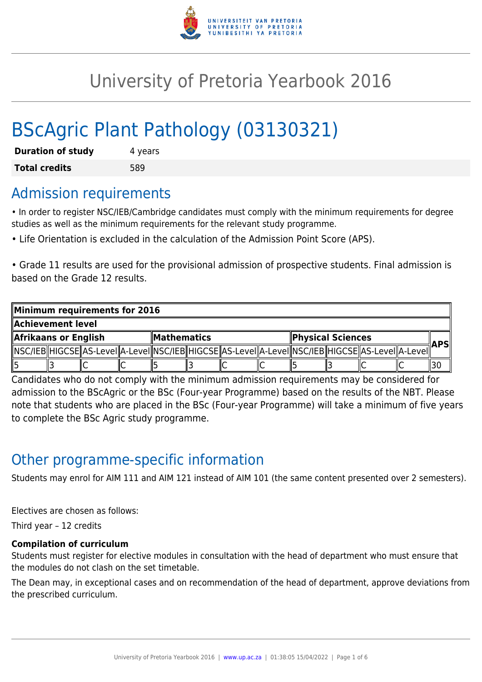

# University of Pretoria Yearbook 2016

# BScAgric Plant Pathology (03130321)

| <b>Duration of study</b> | 4 years |
|--------------------------|---------|
| <b>Total credits</b>     | 589     |

### Admission requirements

• In order to register NSC/IEB/Cambridge candidates must comply with the minimum requirements for degree studies as well as the minimum requirements for the relevant study programme.

• Life Orientation is excluded in the calculation of the Admission Point Score (APS).

• Grade 11 results are used for the provisional admission of prospective students. Final admission is based on the Grade 12 results.

| Minimum requirements for 2016 |  |  |  |                    |  |  |                   |  |  |                                                                                                            |            |    |
|-------------------------------|--|--|--|--------------------|--|--|-------------------|--|--|------------------------------------------------------------------------------------------------------------|------------|----|
| Achievement level             |  |  |  |                    |  |  |                   |  |  |                                                                                                            |            |    |
| Afrikaans or English          |  |  |  | <b>Mathematics</b> |  |  | Physical Sciences |  |  |                                                                                                            | <b>APS</b> |    |
|                               |  |  |  |                    |  |  |                   |  |  | NSC/IEB  HIGCSE  AS-Level  A-Level  NSC/IEB  HIGCSE  AS-Level  A-Level  NSC/IEB  HIGCSE  AS-Level  A-Level |            |    |
|                               |  |  |  |                    |  |  | ΙU                |  |  |                                                                                                            |            | 30 |

Candidates who do not comply with the minimum admission requirements may be considered for admission to the BScAgric or the BSc (Four-year Programme) based on the results of the NBT. Please note that students who are placed in the BSc (Four-year Programme) will take a minimum of five years to complete the BSc Agric study programme.

# Other programme-specific information

Students may enrol for AIM 111 and AIM 121 instead of AIM 101 (the same content presented over 2 semesters).

Electives are chosen as follows:

Third year – 12 credits

#### **Compilation of curriculum**

Students must register for elective modules in consultation with the head of department who must ensure that the modules do not clash on the set timetable.

The Dean may, in exceptional cases and on recommendation of the head of department, approve deviations from the prescribed curriculum.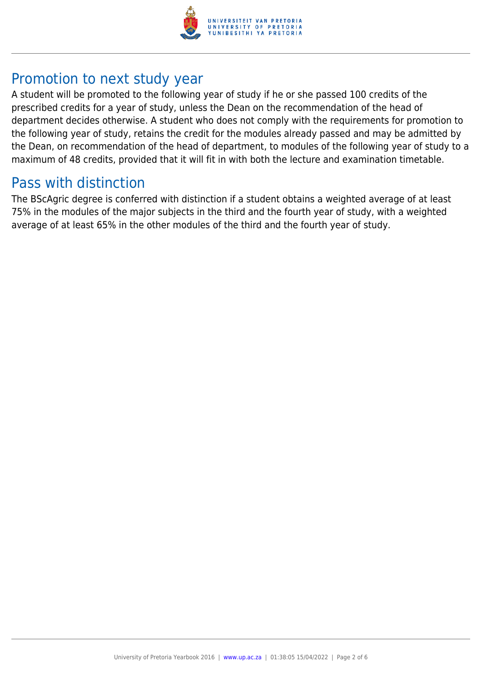

## Promotion to next study year

A student will be promoted to the following year of study if he or she passed 100 credits of the prescribed credits for a year of study, unless the Dean on the recommendation of the head of department decides otherwise. A student who does not comply with the requirements for promotion to the following year of study, retains the credit for the modules already passed and may be admitted by the Dean, on recommendation of the head of department, to modules of the following year of study to a maximum of 48 credits, provided that it will fit in with both the lecture and examination timetable.

### Pass with distinction

The BScAgric degree is conferred with distinction if a student obtains a weighted average of at least 75% in the modules of the major subjects in the third and the fourth year of study, with a weighted average of at least 65% in the other modules of the third and the fourth year of study.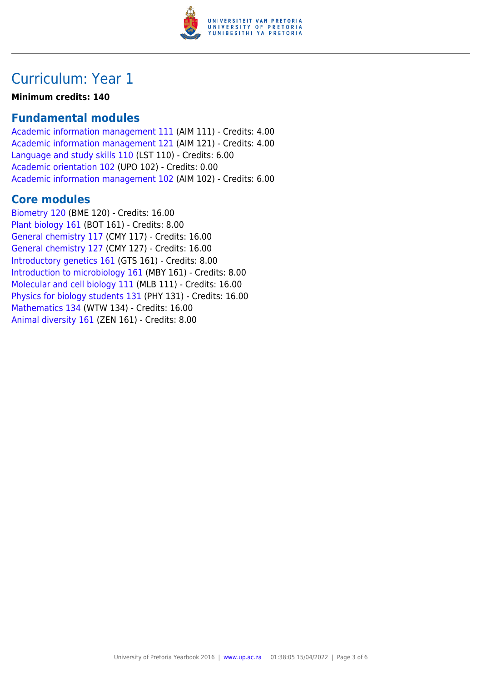

# Curriculum: Year 1

#### **Minimum credits: 140**

### **Fundamental modules**

[Academic information management 111](https://www.up.ac.za/parents/yearbooks/2016/modules/view/AIM 111) (AIM 111) - Credits: 4.00 [Academic information management 121](https://www.up.ac.za/parents/yearbooks/2016/modules/view/AIM 121) (AIM 121) - Credits: 4.00 [Language and study skills 110](https://www.up.ac.za/parents/yearbooks/2016/modules/view/LST 110) (LST 110) - Credits: 6.00 [Academic orientation 102](https://www.up.ac.za/parents/yearbooks/2016/modules/view/UPO 102) (UPO 102) - Credits: 0.00 [Academic information management 102](https://www.up.ac.za/parents/yearbooks/2016/modules/view/AIM 102) (AIM 102) - Credits: 6.00

### **Core modules**

[Biometry 120](https://www.up.ac.za/parents/yearbooks/2016/modules/view/BME 120) (BME 120) - Credits: 16.00 [Plant biology 161](https://www.up.ac.za/parents/yearbooks/2016/modules/view/BOT 161) (BOT 161) - Credits: 8.00 [General chemistry 117](https://www.up.ac.za/parents/yearbooks/2016/modules/view/CMY 117) (CMY 117) - Credits: 16.00 [General chemistry 127](https://www.up.ac.za/parents/yearbooks/2016/modules/view/CMY 127) (CMY 127) - Credits: 16.00 [Introductory genetics 161](https://www.up.ac.za/parents/yearbooks/2016/modules/view/GTS 161) (GTS 161) - Credits: 8.00 [Introduction to microbiology 161](https://www.up.ac.za/parents/yearbooks/2016/modules/view/MBY 161) (MBY 161) - Credits: 8.00 [Molecular and cell biology 111](https://www.up.ac.za/parents/yearbooks/2016/modules/view/MLB 111) (MLB 111) - Credits: 16.00 [Physics for biology students 131](https://www.up.ac.za/parents/yearbooks/2016/modules/view/PHY 131) (PHY 131) - Credits: 16.00 [Mathematics 134](https://www.up.ac.za/parents/yearbooks/2016/modules/view/WTW 134) (WTW 134) - Credits: 16.00 [Animal diversity 161](https://www.up.ac.za/parents/yearbooks/2016/modules/view/ZEN 161) (ZEN 161) - Credits: 8.00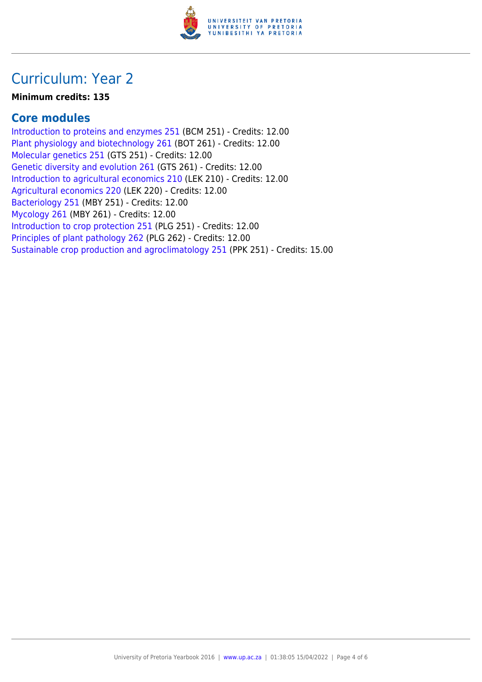

# Curriculum: Year 2

#### **Minimum credits: 135**

### **Core modules**

[Introduction to proteins and enzymes 251](https://www.up.ac.za/parents/yearbooks/2016/modules/view/BCM 251) (BCM 251) - Credits: 12.00 [Plant physiology and biotechnology 261](https://www.up.ac.za/parents/yearbooks/2016/modules/view/BOT 261) (BOT 261) - Credits: 12.00 [Molecular genetics 251](https://www.up.ac.za/parents/yearbooks/2016/modules/view/GTS 251) (GTS 251) - Credits: 12.00 [Genetic diversity and evolution 261](https://www.up.ac.za/parents/yearbooks/2016/modules/view/GTS 261) (GTS 261) - Credits: 12.00 [Introduction to agricultural economics 210](https://www.up.ac.za/parents/yearbooks/2016/modules/view/LEK 210) (LEK 210) - Credits: 12.00 [Agricultural economics 220](https://www.up.ac.za/parents/yearbooks/2016/modules/view/LEK 220) (LEK 220) - Credits: 12.00 [Bacteriology 251](https://www.up.ac.za/parents/yearbooks/2016/modules/view/MBY 251) (MBY 251) - Credits: 12.00 [Mycology 261](https://www.up.ac.za/parents/yearbooks/2016/modules/view/MBY 261) (MBY 261) - Credits: 12.00 [Introduction to crop protection 251](https://www.up.ac.za/parents/yearbooks/2016/modules/view/PLG 251) (PLG 251) - Credits: 12.00 [Principles of plant pathology 262](https://www.up.ac.za/parents/yearbooks/2016/modules/view/PLG 262) (PLG 262) - Credits: 12.00 [Sustainable crop production and agroclimatology 251](https://www.up.ac.za/parents/yearbooks/2016/modules/view/PPK 251) (PPK 251) - Credits: 15.00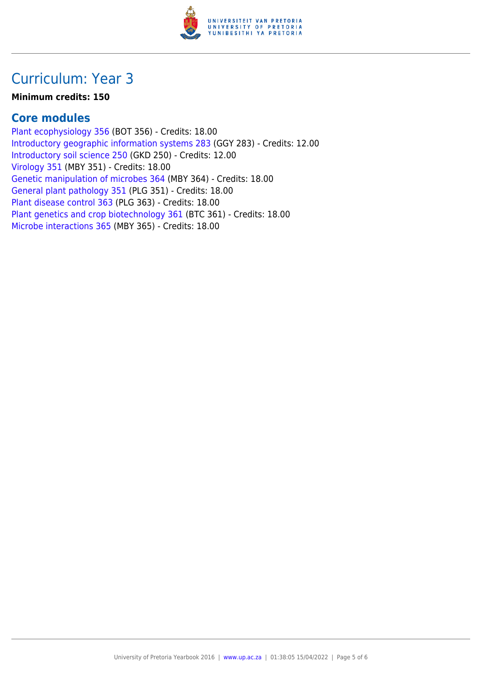

# Curriculum: Year 3

#### **Minimum credits: 150**

### **Core modules**

[Plant ecophysiology 356](https://www.up.ac.za/parents/yearbooks/2016/modules/view/BOT 356) (BOT 356) - Credits: 18.00 [Introductory geographic information systems 283](https://www.up.ac.za/parents/yearbooks/2016/modules/view/GGY 283) (GGY 283) - Credits: 12.00 [Introductory soil science 250](https://www.up.ac.za/parents/yearbooks/2016/modules/view/GKD 250) (GKD 250) - Credits: 12.00 [Virology 351](https://www.up.ac.za/parents/yearbooks/2016/modules/view/MBY 351) (MBY 351) - Credits: 18.00 [Genetic manipulation of microbes 364](https://www.up.ac.za/parents/yearbooks/2016/modules/view/MBY 364) (MBY 364) - Credits: 18.00 [General plant pathology 351](https://www.up.ac.za/parents/yearbooks/2016/modules/view/PLG 351) (PLG 351) - Credits: 18.00 [Plant disease control 363](https://www.up.ac.za/parents/yearbooks/2016/modules/view/PLG 363) (PLG 363) - Credits: 18.00 [Plant genetics and crop biotechnology 361](https://www.up.ac.za/parents/yearbooks/2016/modules/view/BTC 361) (BTC 361) - Credits: 18.00 [Microbe interactions 365](https://www.up.ac.za/parents/yearbooks/2016/modules/view/MBY 365) (MBY 365) - Credits: 18.00